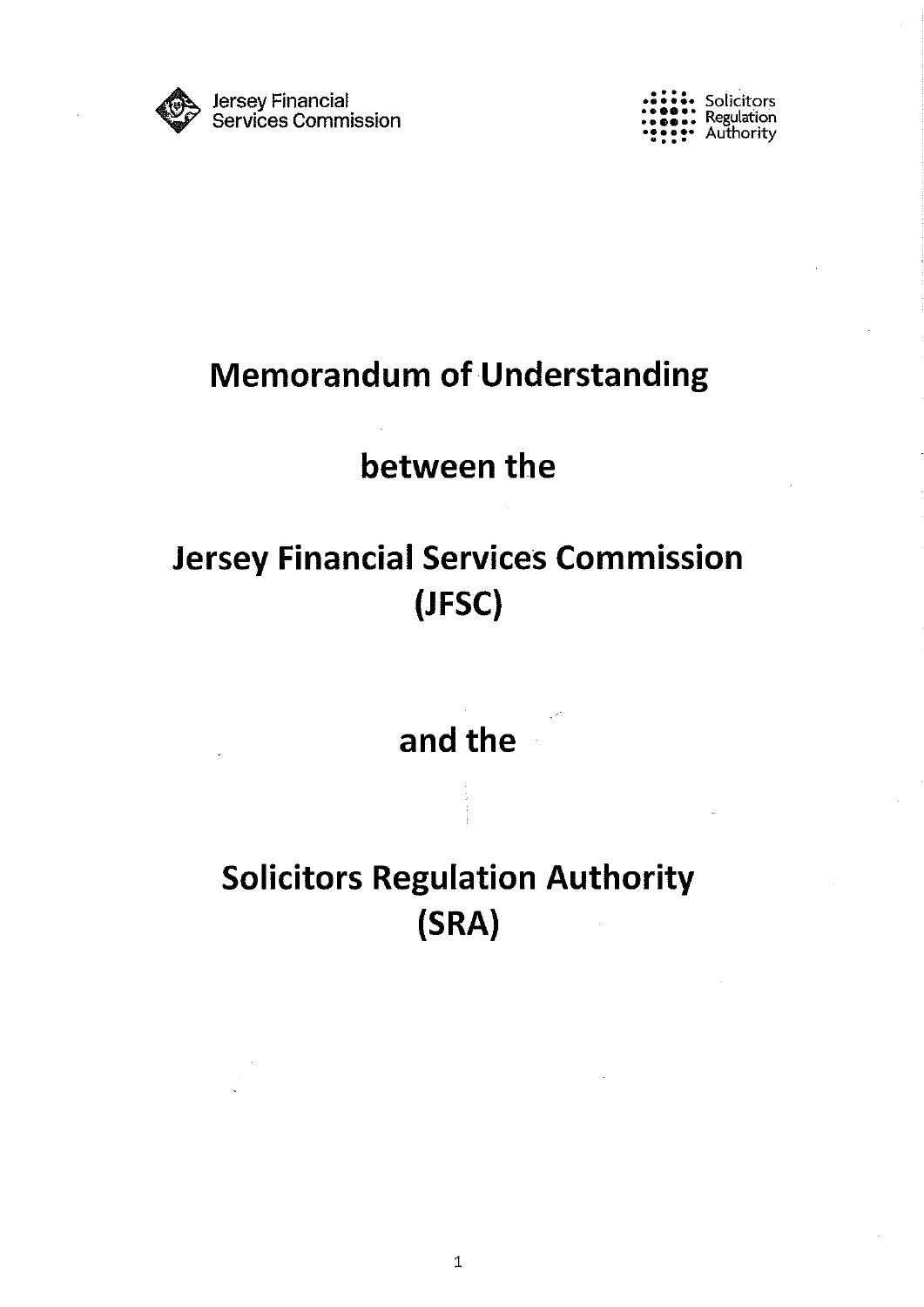

 $\mathbf{r} \bullet \mathbf{r} \bullet \mathbf{r}$  Solicitors **Bo**., Regulation Authority

# Memorandum of Understanding

# between the

# Jersey Financial Services Commission (JFSC)

and the

# Solicitors Regulation Authority (SRA)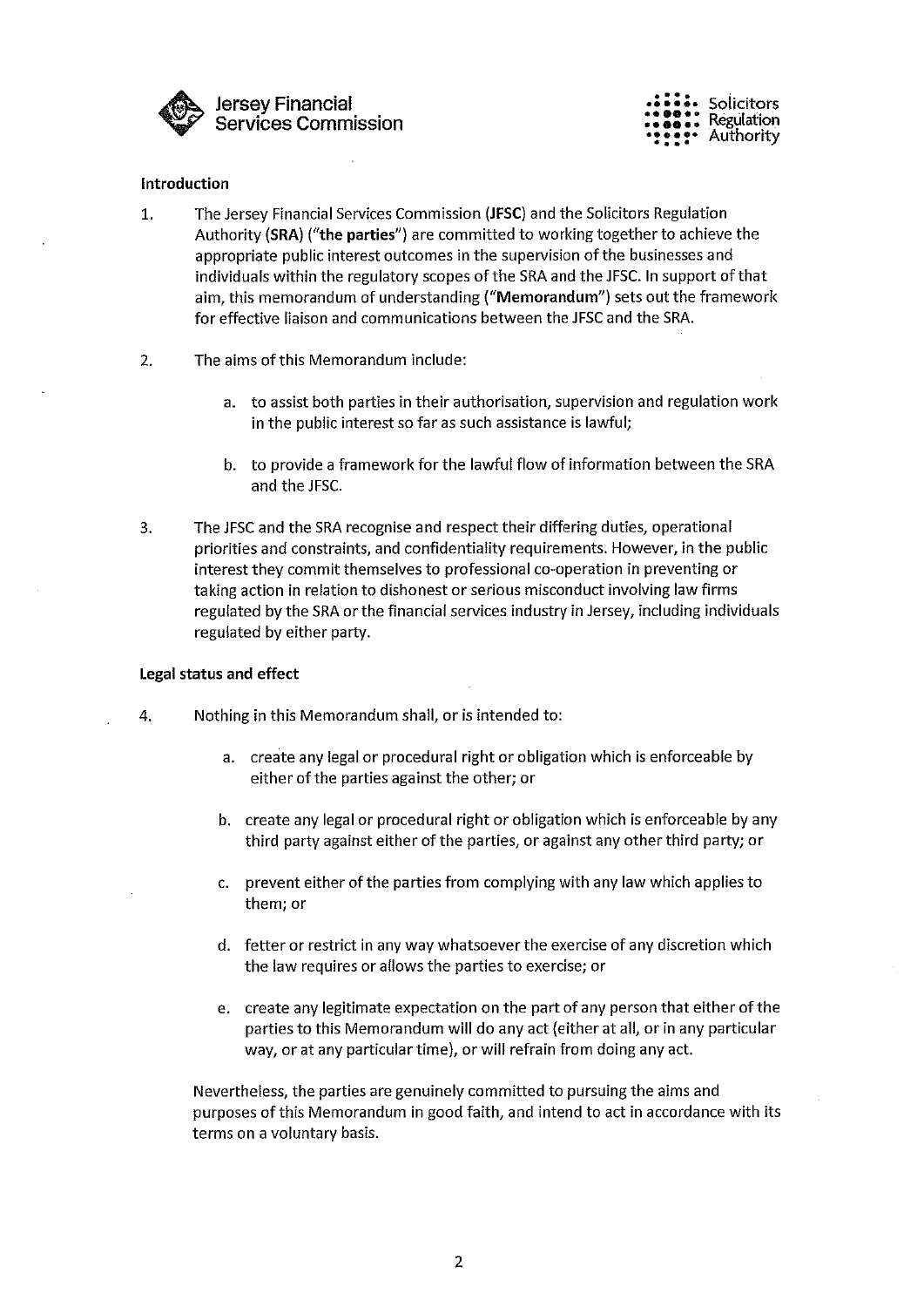

•~ • • •• Solicitors • .se.• Regulation •• : •• Authority

#### Introduction

- 1. The Jersey Financial Services Commission (JFSC) and the Solicitors Regulation Authority (SRA) ("the parties") are committed to working together to achieve the appropriate public interest outcomes in the supervision of the businesses and individuals within the regulatory scopes of the SRA and the JFSC. In support of that aim, this memorandum of understanding ("Memorandum") sets out the framework for effective liaison and communications between the JFSC and the SRA.
- 2. The aims of this Memorandum include:
	- a. to assist both parties in their authorisation, supervision and regulation work in the public interest so far as such assistance is lawful;
	- b. to provide a framework for the lawful flow of information between the SRA and the JFSC.
- 3. The JFSC and the SRA recognise and respect their differing duties, operational priorities and constraints, and confidentiality requirements. However, in the public interest they commit themselves to professional co-operation in preventing or taking action in relation to dishonest or serious misconduct involving law firms regulated by the SRA or the financial services industry in Jersey, including individuals regulated by either party.

#### Legal status and effect

- 4. Nothing in this Memorandum shall, or is intended to:
	- a. create any legal or procedural right or obligation which is enforceable by either of the parties against the other; or
	- b. create any legal or procedural right or obligation which is enforceable by any third party against either of the parties, or against any other third party; or
	- c. prevent either of the parties from complying with any law which applies to them; or
	- d. fetter or restrict in any way whatsoever the exercise of any discretion which the law requires or allows the parties to exercise; or
	- e. create any legitimate expectation on the part of any person that either of the parties to this Memorandum will do any act (either at all, or in any particular way, or at any particular time), or will refrain from doing any act.

Nevertheless, the parties are genuinely committed to pursuing the aims and purposes of this Memorandum in good faith, and intend to act in accordance with its terms on a voluntary basis.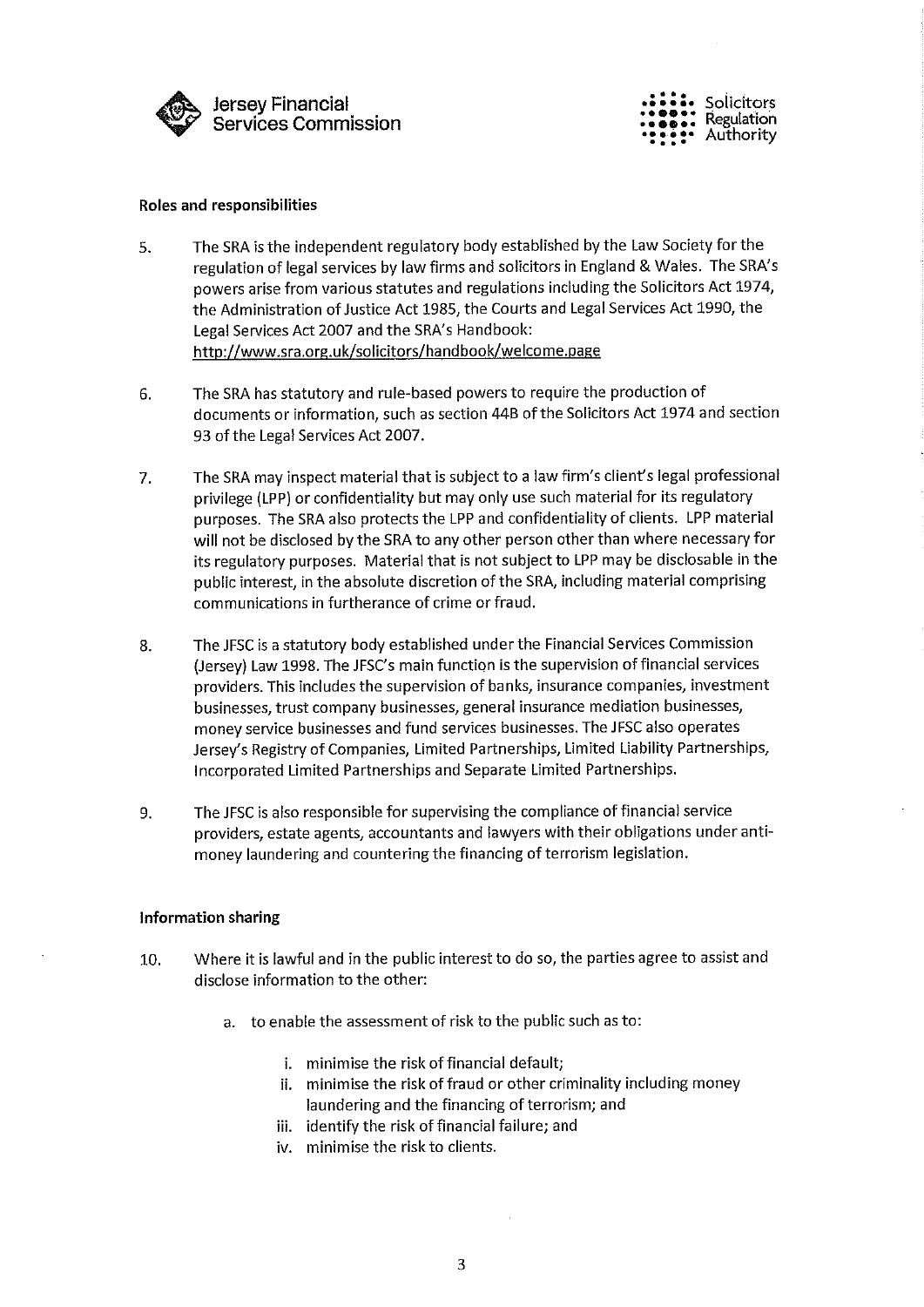

solicitors **Regulation** Authority

#### Roles and responsibilities

- 5. The SRA is the independent regulatory body established by the Law Society for the regulation of legal services by law firms and solicitors in England & Wales. The SRA's powers arise from various statutes and regulations including the Solicitors Act 1974, the Administration of Justice Act 1985, the Courts and Legal Services Act 1990, the Legal Services Act 2007 and the SRA's Handbook: http://www.sra.org.uk/solicitors/handbook/welcome.page
- 6. The SRA has statutory and rule-based powers to require the production of documents or information, such as section 44B of the Solicitors Act 1974 and section 93 of the Legal Services Act 2007.
- 7. The SRA may inspect material that is subject to a law firm's client's legal professional privilege (LPP) or confidentiality but may only use such material for its regulatory purposes. The SRA also protects the LPP and confidentiality of clients. LPP material will not be disclosed by the SRA to any other person other than where necessary for its regulatory purposes. Material that is not subject to LPP may be disclosable in the public interest, in the absolute discretion of the SRA, including material comprising communications in furtherance of crime or fraud.
- 8. The JFSC is a statutory body established under the Financial Services Commission (Jersey) Law 1998. The JFSC's main function is the supervision of financial services providers. This includes the supervision of banks, insurance companies, investment businesses, trust company businesses, general insurance mediation businesses, money service businesses and fund services businesses. The JFSC also operates Jersey's Registry of Companies, Limited Partnerships, Limited Liability Partnerships, Incorporated Limited Partnerships and Separate Limited Partnerships.
- 9. The JFSC is also responsible for supervising the compliance of financial service providers, estate agents, accountants and lawyers with their obligations under antimoney laundering and countering the financing of terrorism legislation.

#### Information sharing

- 10. Where it is lawful and in the public interest to do so, the parties agree to assist and disclose information to the other:
	- a. to enable the assessment of risk to the public such as to:
		- i. minimise the risk of financial default;
		- ii. minimise the risk of fraud or other criminality including money laundering and the financing of terrorism; and
		- iii. identify the risk of financial failure; and
		- iv. minimise the risk to clients.

3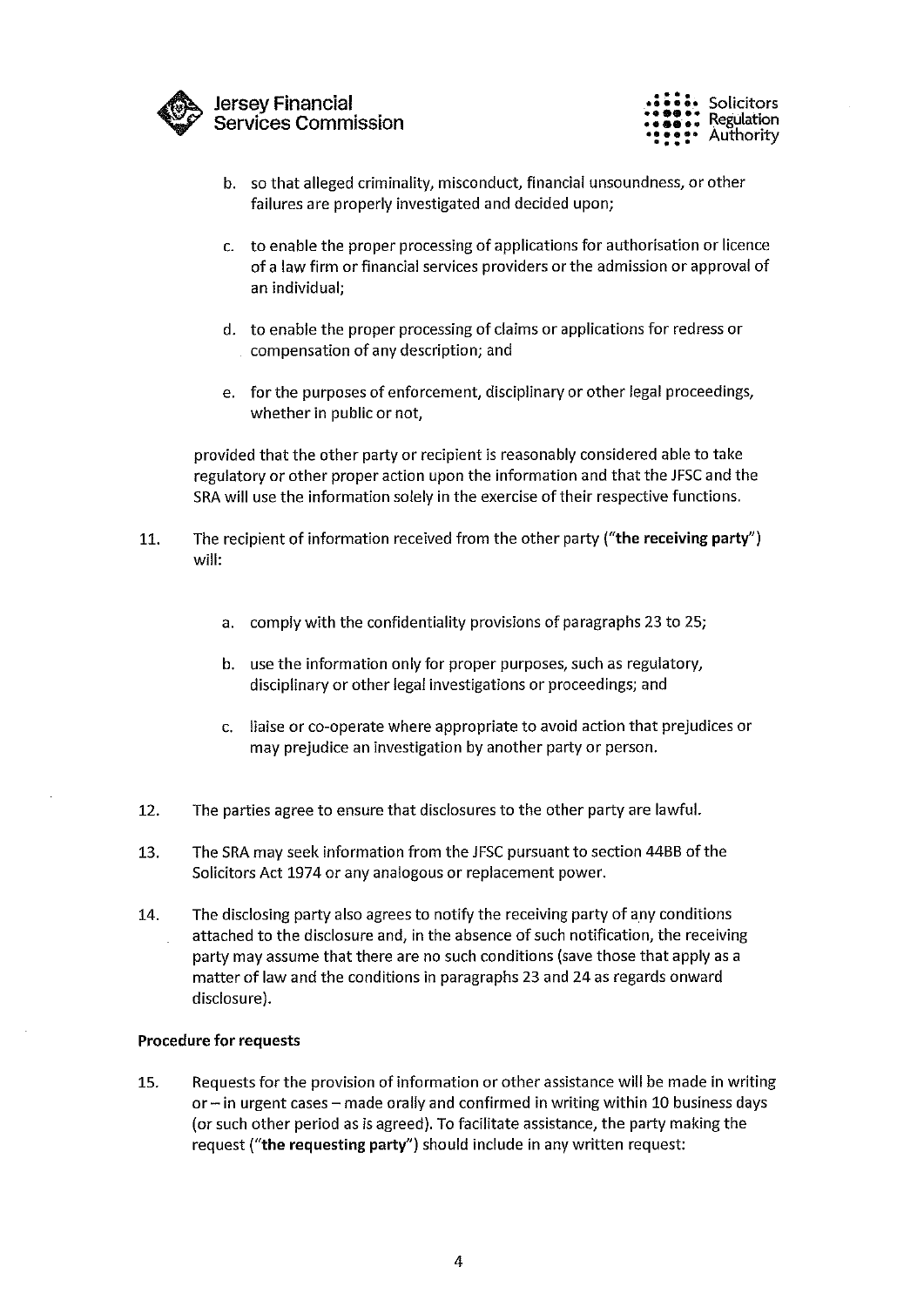



- b. so that alleged criminality, misconduct, financial unsoundness, or other failures are properly investigated and decided upon;
- c. to enable the proper processing of applications for authorisation or licence of a law firm or financial services providers or the admission or approval of an individual;
- d. to enable the proper processing of claims or applications for redress or compensation of any description; and
- e. for the purposes of enforcement, disciplinary or other legal proceedings, whether in public or not,

provided that the other party or recipient is reasonably considered able to take regulatory or other proper action upon the information and that the JFSC and the SRA will use the information solely in the exercise of their respective functions.

- 11. The recipient of information received from the other party ("the receiving party") will:
	- a. comply with the confidentiality provisions of paragraphs 23 to 25;
	- b. use the information only for proper purposes, such as regulatory, disciplinary or other legal investigations or proceedings; and
	- c. liaise or co-operate where appropriate to avoid action that prejudices or may prejudice an investigation by another party or person.
- 12. The parties agree to ensure that disclosures to the other party are lawful.
- 13. The SRA may seek information from the JFSC pursuant to section 4466 of the Solicitors Act 1974 or any analogous or replacement power.
- 14. The disclosing party also agrees to notify the receiving party of any conditions attached to the disclosure and, in the absence of such notification, the receiving party may assume that there are no such conditions (save those that apply as a matter of law and the conditions in paragraphs 23 and 24 as regards onward disclosure).

## Procedure for requests

15. Requests for the provision of information or other assistance will be made in writing or— in urgent cases— made orally and confirmed in writing within 10 business days (or such other period as is agreed). To facilitate assistance, the party making the request ("the requesting party") should include in any written request: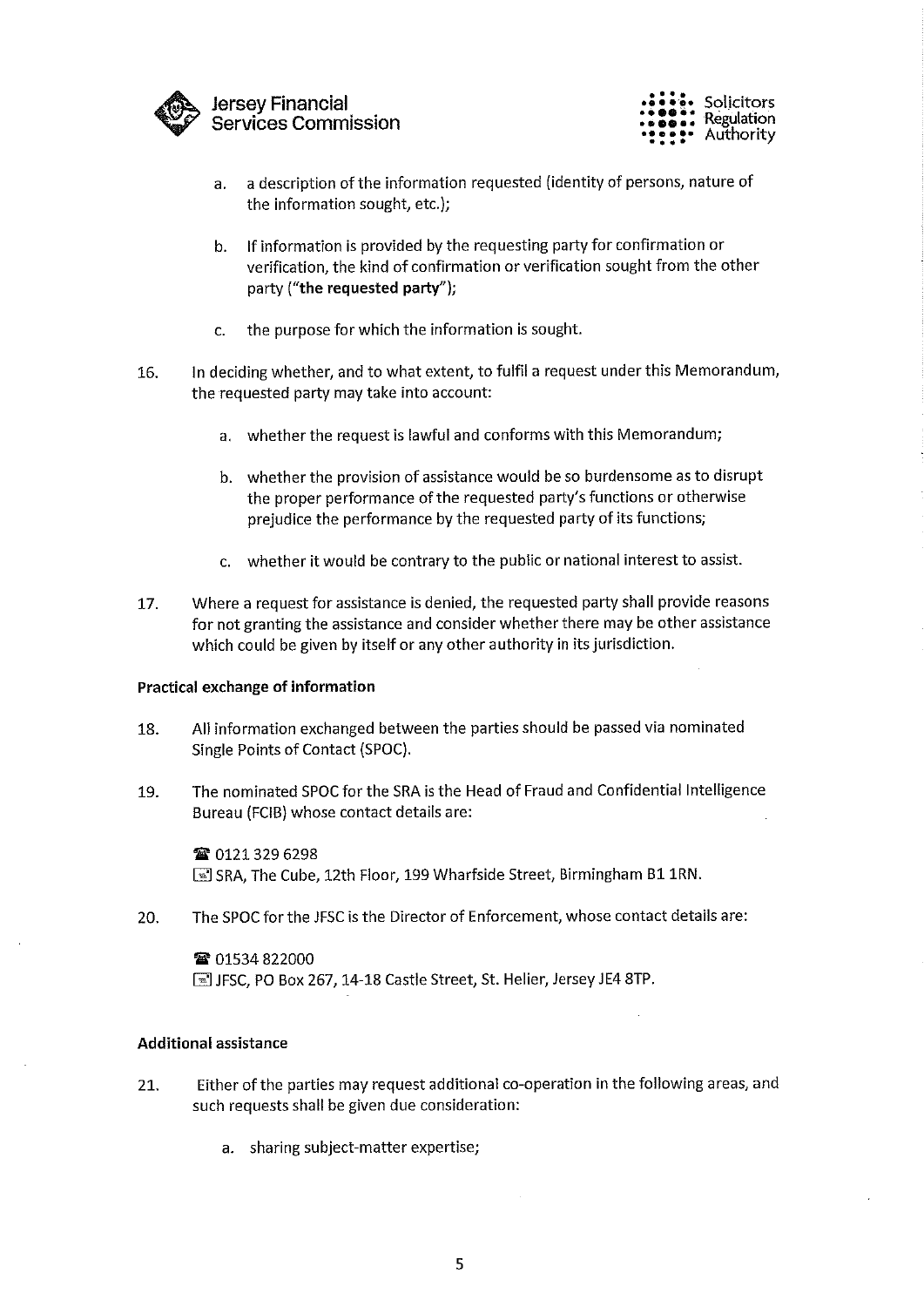

Jersey Financial Services Commission



- a. a description of the information requested (identity of persons, nature of the information sought, etc.);
- b. If information is provided by the requesting party for confirmation or verification, the kind of confirmation or verification sought from the other party ("the requested party");
- c. the purpose for which the information is sought.
- 16. In deciding whether, and to what extent, to fulfil a request under this Memorandum, the requested party may take into account:
	- a. whether the request is lawful and conforms with this Memorandum;
	- b. whether the provision of assistance would be so burdensome as to disrupt the proper performance of the requested party's functions or otherwise prejudice the performance by the requested party of its functions;
	- c. whether it would be contrary to the public or national interest to assist.
- 17. Where a request for assistance is denied, the requested party shall provide reasons for not granting the assistance and consider whether there may be other assistance which could be given by itself or any other authority in its jurisdiction.

#### Practical exchange of information

- 18. All information exchanged between the parties should be passed via nominated Single Points of Contact (SPOC).
- 19. The nominated SPOC for the SRA is the Head of Fraud and Confidential Intelligence Bureau (FCIB) whose contact details are:

■ 0121 329 6298 ■ SRA, The Cube, 12th Floor, 199 Wharfside Street, Birmingham B1 1RN.

20. The SPOC for the 1FSC is the Director of Enforcement, whose contact details are:

**雷 01534 822000** I JFSC, PO Box 267, 14-18 Castle Street, St. Helier, Jersey JE4 8TP.

#### Additional assistance

- 21. Either of the parties may request additional co-operation in the following areas, and such requests shall be given due consideration:
	- a. sharing subject-matter expertise;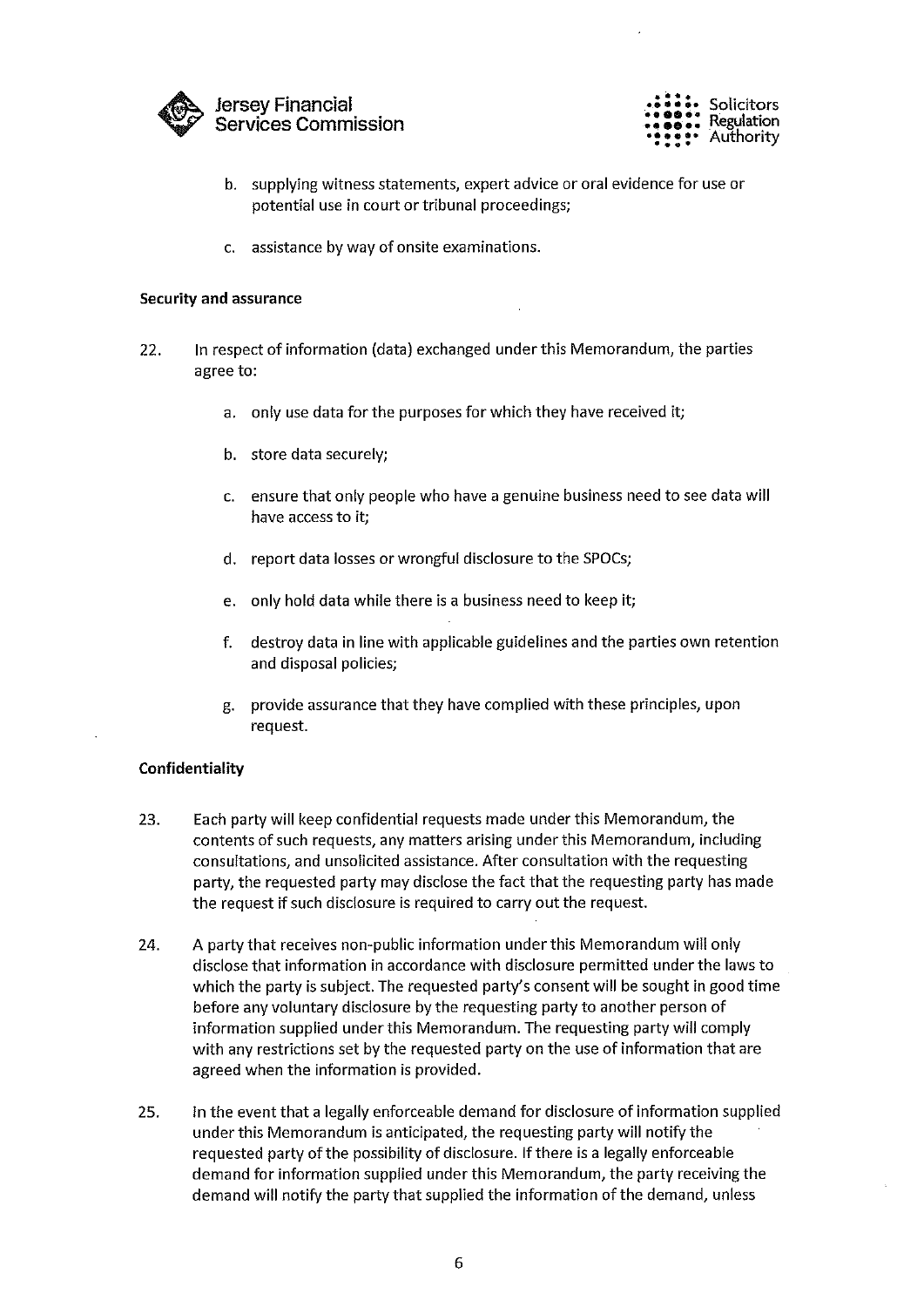



- b. supplying witness statements, expert advice or oral evidence for use or potential use in court or tribunal proceedings;
- c. assistance by way of onsite examinations.

#### Security and assurance

- 22. In respect of information (data) exchanged under this Memorandum, the parties agree to:
	- a. only use data for the purposes for which they have received it;
	- b. store data securely;
	- c. ensure that only people who have a genuine business need to see data will have access to it;
	- d, report data losses or wrongful disclosure to the SPOCs;
	- e. only hold data while there is a business need to keep it;
	- f. destroy data in line with applicable guidelines and the parties own retention and disposal policies;
	- g. provide assurance that they have complied with these principles, upon request.

#### Confidentiality

- 23. Each party will keep confidential requests made under this Memorandum, the contents of such requests, any matters arising under this Memorandum, including consultations, and unsolicited assistance. After consultation with the requesting party, the requested party may disclose the fact that the requesting party has made the request if such disclosure is required to carry out the request.
- 24. A party that receives non-public information under this Memorandum will only disclose that information in accordance with disclosure permitted under the laws to which the party is subject. The requested party's consent will be sought in good time before any voluntary disclosure by the requesting party to another person of information supplied under this Memorandum. The requesting party will comply with any restrictions set by the requested party on the use of information that are agreed when the information is provided.
- 25. In the event that a legally enforceable demand for disclosure of information supplied under this Memorandum is anticipated, the requesting party will notify the requested party of the possibility of disclosure. If there is a legally enforceable demand for information supplied under this Memorandum, the party receiving the demand will notify the party that supplied the information of the demand, unless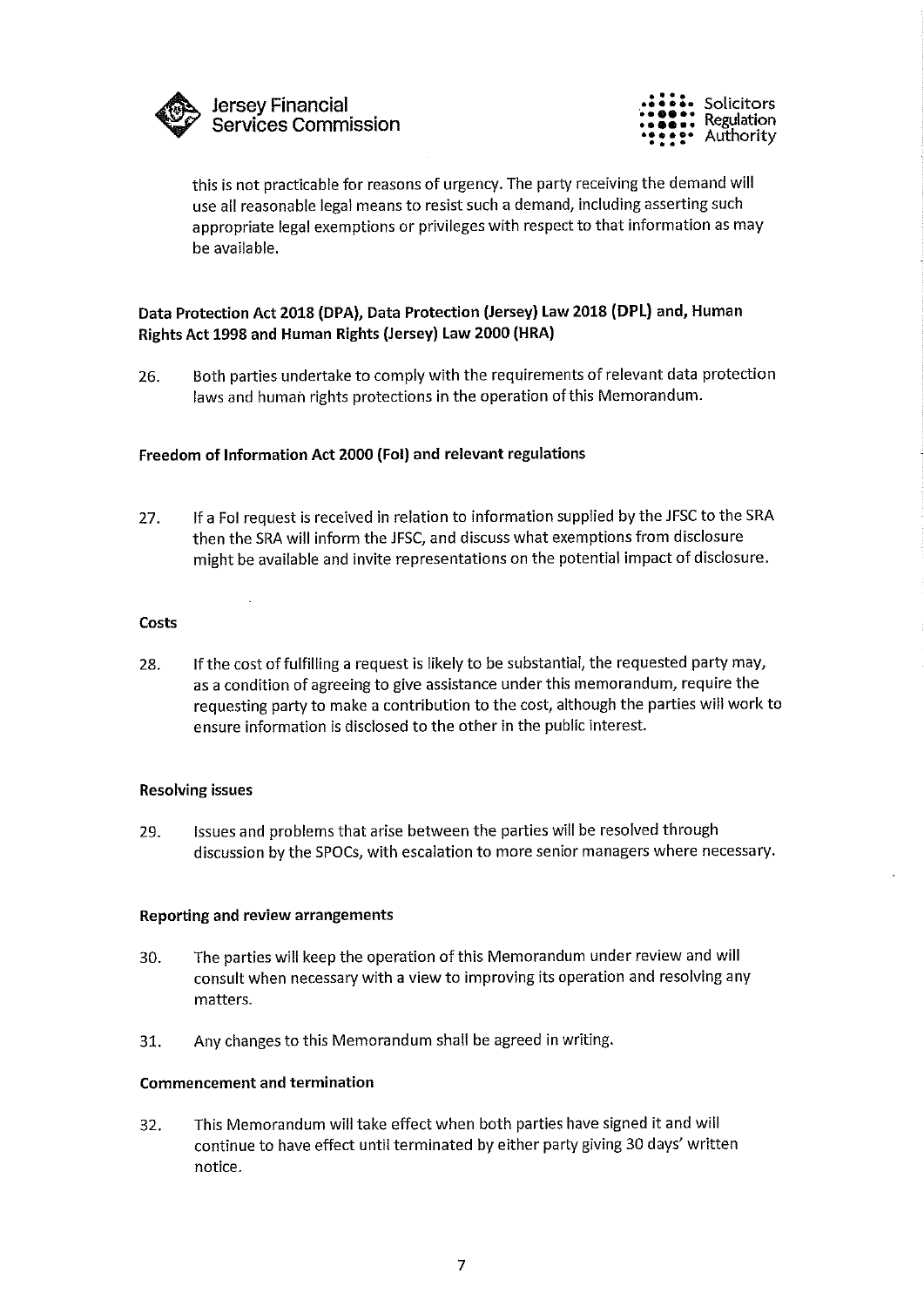



this is not practicable for reasons of urgency. The party receiving the demand will use all reasonable legal means to resist such a demand, including asserting such appropriate legal exemptions or privileges with respect to that information as may be available.

## Data Protection Act 2018 (DPA), Data Protection (Jersey) Law 2018 (DPL) and, Human Rights Act 1998 and Human Rights (Jersey) Law 2000 (HRA)

26. Both parties undertake to comply with the requirements of relevant data protection laws and human rights protections in the operation of this Memorandum.

## Freedom of Information Act 2000 (Fol) and relevant regulations

27. If a Fol request is received in relation to information supplied by the JFSC to the SRA then the SRA will inform the JFSC, and discuss what exemptions from disclosure might be available and invite representations on the potential impact of disclosure.

#### **Costs**

28. If the cost of fulfilling a request is likely to be substantial, the requested party may, as a condition of agreeing to give assistance under this memorandum, require the requesting party to make a contribution to the cost, although the parties will work to ensure information is disclosed to the other in the public interest.

## Resolving issues

29. Issues and problems that arise between the parties will be resolved through discussion by the SPOCs, with escalation to more senior managers where necessary.

#### Reporting and review arrangements

- 30. The parties will keep the operation of this Memorandum under review and will consult when necessary with a view to improving its operation and resolving any matters.
- 31. Any changes to this Memorandum shall be agreed in writing.

#### Commencement and termination

32. This Memorandum will take effect when both parties have signed it and will continue to have effect until terminated by either party giving 30 days' written notice.